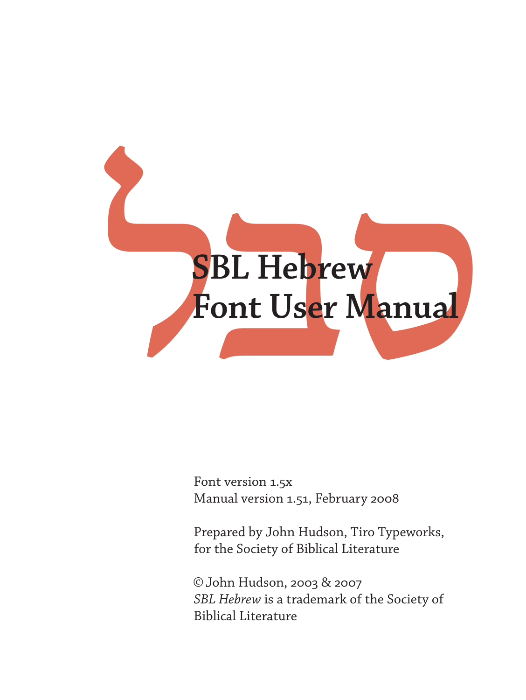# SBL Hebrew<br>Font User Manual **Font User Manual**

Font version 1.5x Manual version 1.51, February 2008

Prepared by John Hudson, Tiro Typeworks, for the Society of Biblical Literature

©John Hudson, 2003 & 2007 *SBL Hebrew* is a trademark of the Society of Biblical Literature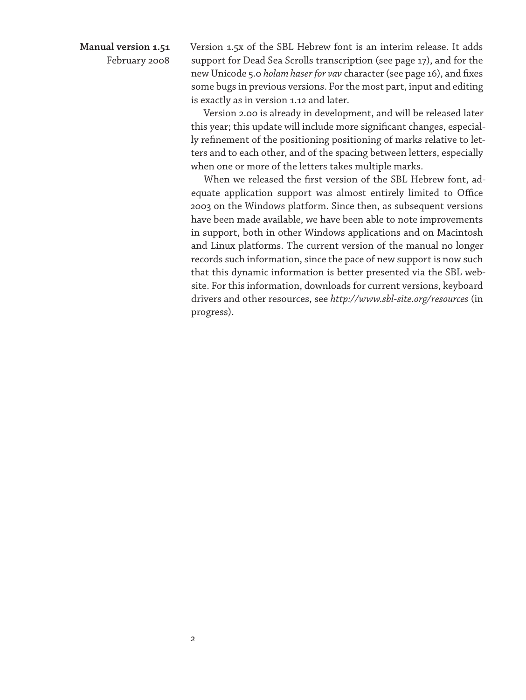# **Manual version 1.51**

February 2008

Version 1.5x of the SBL Hebrew font is an interim release. It adds support for Dead Sea Scrolls transcription (see page 17), and for the new Unicode 5.0 *holam haser for vav* character (see page 16), and fixes some bugs in previous versions. For the most part, input and editing is exactly as in version 1.12 and later.

Version 2.00 is already in development, and will be released later this year; this update will include more significant changes, especially refinement of the positioning positioning of marks relative to letters and to each other, and of the spacing between letters, especially when one or more of the letters takes multiple marks.

When we released the first version of the SBL Hebrew font, adequate application support was almost entirely limited to Office 2003 on the Windows platform. Since then, as subsequent versions have been made available, we have been able to note improvements in support, both in other Windows applications and on Macintosh and Linux platforms. The current version of the manual no longer records such information, since the pace of new support is now such that this dynamic information is better presented via the SBL website. For this information, downloads for current versions, keyboard drivers and other resources, see *http://www.sbl-site.org/resources* (in progress).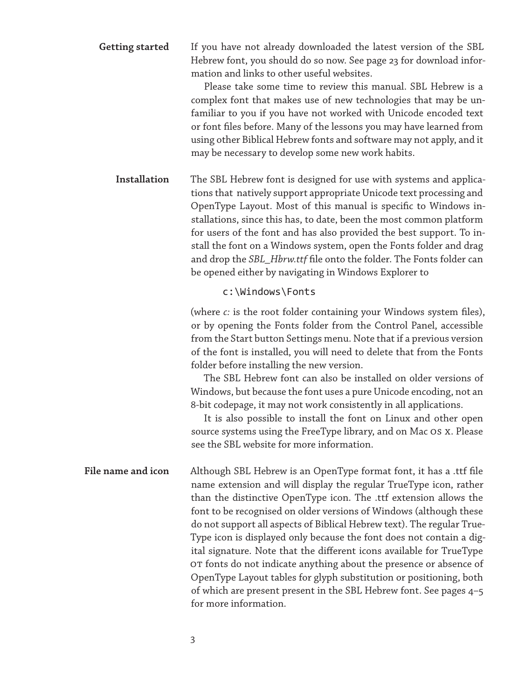If you have not already downloaded the latest version of the SBL Hebrew font, you should do so now. See page 23 for download information and links to other useful websites. **Getting started**

> Please take some time to review this manual. SBL Hebrew is a complex font that makes use of new technologies that may be unfamiliar to you if you have not worked with Unicode encoded text or font files before. Many of the lessons you may have learned from using other Biblical Hebrew fonts and software may not apply, and it may be necessary to develop some new work habits.

The SBL Hebrew font is designed for use with systems and applications that natively support appropriate Unicode text processing and OpenType Layout. Most of this manual is specific to Windows installations, since this has, to date, been the most common platform for users of the font and has also provided the best support. To install the font on a Windows system, open the Fonts folder and drag and drop the *SBL\_Hbrw.ttf* file onto the folder. The Fonts folder can be opened either by navigating in Windows Explorer to **Installation**

c:\Windows\Fonts

(where *c:* is the root folder containing your Windows system files), or by opening the Fonts folder from the Control Panel, accessible from the Start button Settings menu. Note that if a previous version of the font is installed, you will need to delete that from the Fonts folder before installing the new version.

The SBL Hebrew font can also be installed on older versions of Windows, but because the font uses a pure Unicode encoding, not an 8-bit codepage, it may not work consistently in all applications.

It is also possible to install the font on Linux and other open source systems using the FreeType library, and on Mac OS X. Please see the SBL website for more information.

Although SBL Hebrew is an OpenType format font, it has a .ttf file name extension and will display the regular TrueType icon, rather than the distinctive OpenType icon. The .ttf extension allows the font to be recognised on older versions of Windows (although these do not support all aspects of Biblical Hebrew text). The regular True-Type icon is displayed only because the font does not contain a digital signature. Note that the different icons available for TrueType OT fonts do not indicate anything about the presence or absence of OpenType Layout tables for glyph substitution or positioning, both of which are present present in the SBL Hebrew font. See pages 4–5 for more information. **File name and icon**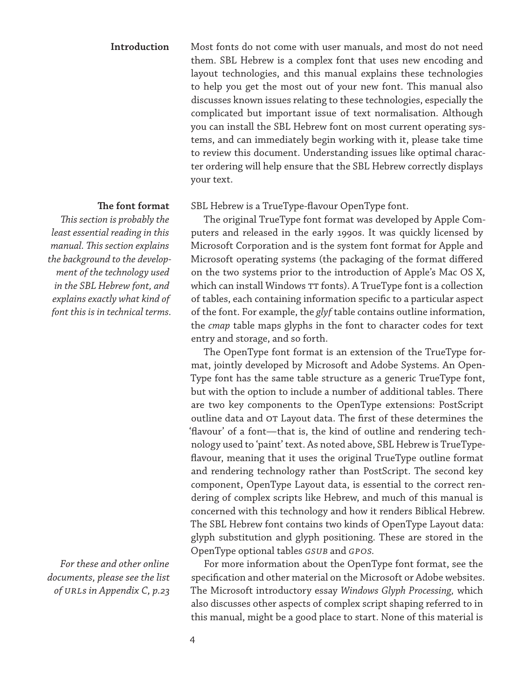# Most fonts do not come with user manuals, and most do not need them. SBL Hebrew is a complex font that uses new encoding and layout technologies, and this manual explains these technologies to help you get the most out of your new font. This manual also discusses known issues relating to these technologies, especially the complicated but important issue of text normalisation. Although you can install the SBL Hebrew font on most current operating systems, and can immediately begin working with it, please take time to review this document. Understanding issues like optimal character ordering will help ensure that the SBL Hebrew correctly displays your text. **Introduction**

# **The font format**

*This section is probably the least essential reading in this manual. This section explains the background to the development of the technology used in the SBL Hebrew font, and explains exactly what kind of font this is in technical terms.*

*For these and other online documents, please see the list of URLs in Appendix C, p.23*

SBL Hebrew is a TrueType-flavour OpenType font.

The original TrueType font format was developed by Apple Computers and released in the early 1990s. It was quickly licensed by Microsoft Corporation and is the system font format for Apple and Microsoft operating systems (the packaging of the format differed on the two systems prior to the introduction of Apple's Mac OS X, which can install Windows TT fonts). A TrueType font is a collection of tables, each containing information specific to a particular aspect of the font. For example, the *glyf* table contains outline information, the *cmap* table maps glyphs in the font to character codes for text entry and storage, and so forth.

The OpenType font format is an extension of the TrueType format, jointly developed by Microsoft and Adobe Systems. An Open-Type font has the same table structure as a generic TrueType font, but with the option to include a number of additional tables. There are two key components to the OpenType extensions: PostScript outline data and OT Layout data. The first of these determines the 'flavour' of a font—that is, the kind of outline and rendering technology used to 'paint' text. As noted above, SBL Hebrew is TrueTypeflavour, meaning that it uses the original TrueType outline format and rendering technology rather than PostScript. The second key component, OpenType Layout data, is essential to the correct rendering of complex scripts like Hebrew, and much of this manual is concerned with this technology and how it renders Biblical Hebrew. The SBL Hebrew font contains two kinds of OpenType Layout data: glyph substitution and glyph positioning. These are stored in the OpenType optional tables *GSUB* and *GPOS.*

For more information about the OpenType font format, see the specification and other material on the Microsoft or Adobe websites. The Microsoft introductory essay *Windows Glyph Processing,* which also discusses other aspects of complex script shaping referred to in this manual, might be a good place to start. None of this material is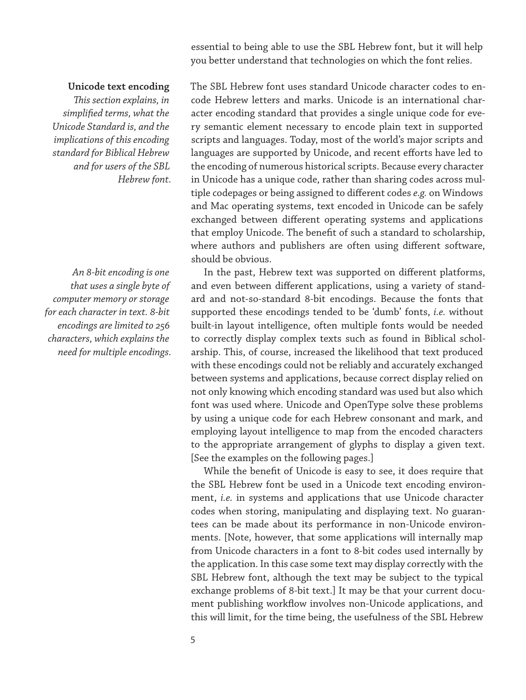essential to being able to use the SBL Hebrew font, but it will help you better understand that technologies on which the font relies.

# **Unicode text encoding**

*This section explains, in simplified terms, what the Unicode Standard is, and the implications of this encoding standard for Biblical Hebrew and for users of the SBL Hebrew font.*

*An 8-bit encoding is one that uses a single byte of computer memory or storage for each character in text. 8-bit encodings are limited to 256 characters, which explains the need for multiple encodings.*

The SBL Hebrew font uses standard Unicode character codes to encode Hebrew letters and marks. Unicode is an international character encoding standard that provides a single unique code for every semantic element necessary to encode plain text in supported scripts and languages. Today, most of the world's major scripts and languages are supported by Unicode, and recent efforts have led to the encoding of numerous historical scripts. Because every character in Unicode has a unique code, rather than sharing codes across multiple codepages or being assigned to different codes *e.g.* on Windows and Mac operating systems, text encoded in Unicode can be safely exchanged between different operating systems and applications that employ Unicode. The benefit of such a standard to scholarship, where authors and publishers are often using different software, should be obvious.

In the past, Hebrew text was supported on different platforms, and even between different applications, using a variety of standard and not-so-standard 8-bit encodings. Because the fonts that supported these encodings tended to be 'dumb' fonts, *i.e.* without built-in layout intelligence, often multiple fonts would be needed to correctly display complex texts such as found in Biblical scholarship. This, of course, increased the likelihood that text produced with these encodings could not be reliably and accurately exchanged between systems and applications, because correct display relied on not only knowing which encoding standard was used but also which font was used where. Unicode and OpenType solve these problems by using a unique code for each Hebrew consonant and mark, and employing layout intelligence to map from the encoded characters to the appropriate arrangement of glyphs to display a given text. [See the examples on the following pages.]

While the benefit of Unicode is easy to see, it does require that the SBL Hebrew font be used in a Unicode text encoding environment, *i.e.* in systems and applications that use Unicode character codes when storing, manipulating and displaying text. No guarantees can be made about its performance in non-Unicode environments. [Note, however, that some applications will internally map from Unicode characters in a font to 8-bit codes used internally by the application. In this case some text may display correctly with the SBL Hebrew font, although the text may be subject to the typical exchange problems of 8-bit text.] It may be that your current document publishing workflow involves non-Unicode applications, and this will limit, for the time being, the usefulness of the SBL Hebrew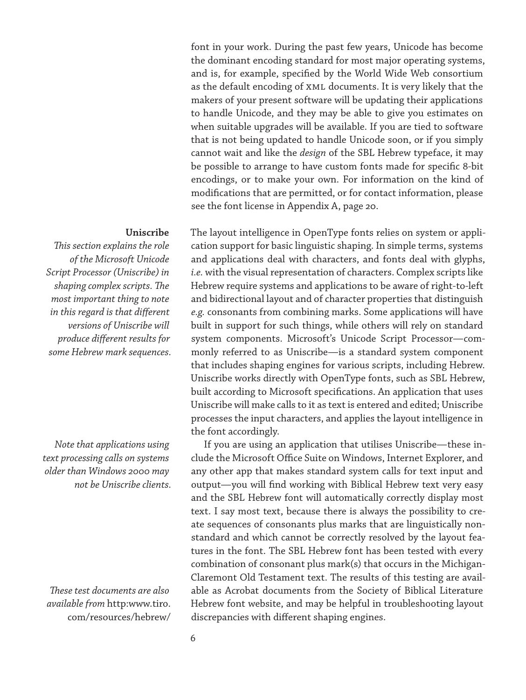font in your work. During the past few years, Unicode has become the dominant encoding standard for most major operating systems, and is, for example, specified by the World Wide Web consortium as the default encoding of XML documents. It is very likely that the makers of your present software will be updating their applications to handle Unicode, and they may be able to give you estimates on when suitable upgrades will be available. If you are tied to software that is not being updated to handle Unicode soon, or if you simply cannot wait and like the *design* of the SBL Hebrew typeface, it may be possible to arrange to have custom fonts made for specific 8-bit encodings, or to make your own. For information on the kind of modifications that are permitted, or for contact information, please see the font license in Appendix A, page 20.

# **Uniscribe**

*This section explains the role of the Microsoft Unicode Script Processor (Uniscribe) in shaping complex scripts. The most important thing to note in this regard is that different versions of Uniscribe will produce different results for some Hebrew mark sequences.*

*Note that applications using text processing calls on systems older than Windows 2000 may not be Uniscribe clients.*

*These test documents are also available from* http:www.tiro. com/resources/hebrew/

The layout intelligence in OpenType fonts relies on system or application support for basic linguistic shaping. In simple terms, systems and applications deal with characters, and fonts deal with glyphs, *i.e.* with the visual representation of characters. Complex scripts like Hebrew require systems and applications to be aware of right-to-left and bidirectional layout and of character properties that distinguish *e.g.* consonants from combining marks. Some applications will have built in support for such things, while others will rely on standard system components. Microsoft's Unicode Script Processor—commonly referred to as Uniscribe—is a standard system component that includes shaping engines for various scripts, including Hebrew. Uniscribe works directly with OpenType fonts, such as SBL Hebrew, built according to Microsoft specifications. An application that uses Uniscribe will make calls to it as text is entered and edited; Uniscribe processes the input characters, and applies the layout intelligence in the font accordingly.

If you are using an application that utilises Uniscribe—these include the Microsoft Office Suite on Windows, Internet Explorer, and any other app that makes standard system calls for text input and output—you will find working with Biblical Hebrew text very easy and the SBL Hebrew font will automatically correctly display most text. I say most text, because there is always the possibility to create sequences of consonants plus marks that are linguistically nonstandard and which cannot be correctly resolved by the layout features in the font. The SBL Hebrew font has been tested with every combination of consonant plus mark(s) that occurs in the Michigan-Claremont Old Testament text. The results of this testing are available as Acrobat documents from the Society of Biblical Literature Hebrew font website, and may be helpful in troubleshooting layout discrepancies with different shaping engines.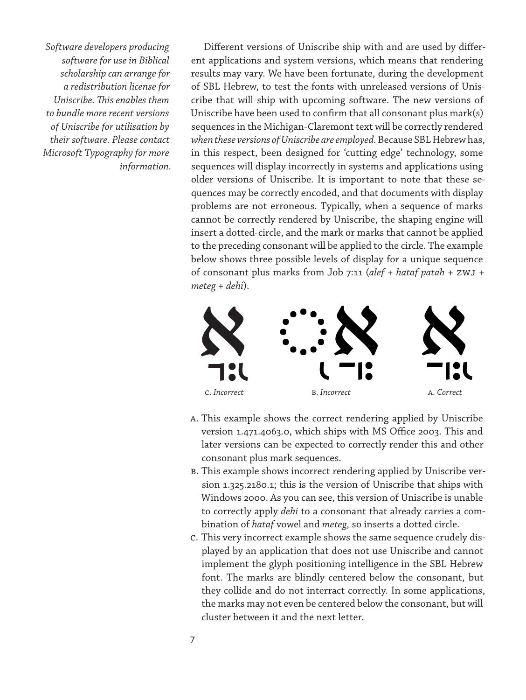*Software developers producing software for use in Biblical scholarship can arrange for a redistribution license for Uniscribe. This enables them to bundle more recent versions of Uniscribe for utilisation by their software. Please contact Microsoft Typography for more information.*

Different versions of Uniscribe ship with and are used by different applications and system versions, which means that rendering results may vary. We have been fortunate, during the development of SBL Hebrew, to test the fonts with unreleased versions of Uniscribe that will ship with upcoming software. The new versions of Uniscribe have been used to confirm that all consonant plus mark(s) sequences in the Michigan-Claremont text will be correctly rendered *when these versions of Uniscribe are employed.* Because SBL Hebrew has, in this respect, been designed for 'cutting edge' technology, some sequences will display incorrectly in systems and applications using older versions of Uniscribe. It is important to note that these sequences may be correctly encoded, and that documents with display problems are not erroneous. Typically, when a sequence of marks cannot be correctly rendered by Uniscribe, the shaping engine will insert a dotted-circle, and the mark or marks that cannot be applied to the preceding consonant will be applied to the circle. The example below shows three possible levels of display for a unique sequence of consonant plus marks from Job 7:11 (*alef* + *hataf patah* + ZWJ + *meteg* + *dehi*).



- A. This example shows the correct rendering applied by Uniscribe version 1.471.4063.0, which ships with MS Office 2003. This and later versions can be expected to correctly render this and other consonant plus mark sequences.
- B. This example shows incorrect rendering applied by Uniscribe version 1.325.2180.1; this is the version of Uniscribe that ships with Windows 2000. As you can see, this version of Uniscribe is unable to correctly apply *dehi* to a consonant that already carries a combination of *hataf* vowel and *meteg,* so inserts a dotted circle.
- C. This very incorrect example shows the same sequence crudely displayed by an application that does not use Uniscribe and cannot implement the glyph positioning intelligence in the SBL Hebrew font. The marks are blindly centered below the consonant, but they collide and do not interract correctly. In some applications, the marks may not even be centered below the consonant, but will cluster between it and the next letter.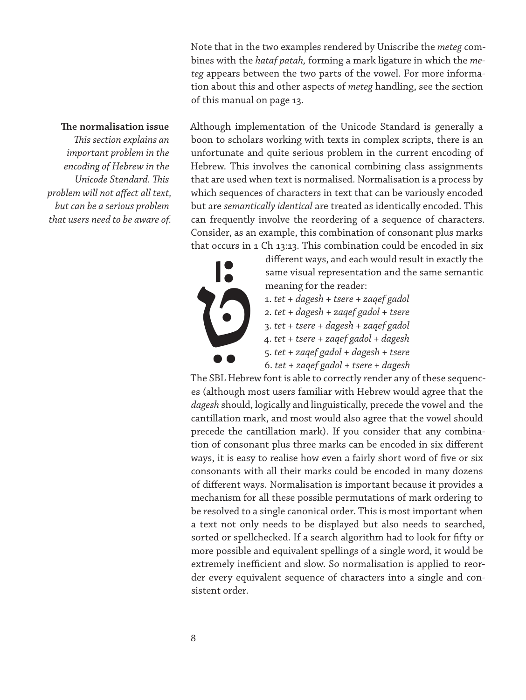Note that in the two examples rendered by Uniscribe the *meteg* combines with the *hataf patah,* forming a mark ligature in which the *meteg* appears between the two parts of the vowel. For more information about this and other aspects of *meteg* handling, see the section of this manual on page 13.

# **The normalisation issue**

*This section explains an important problem in the encoding of Hebrew in the Unicode Standard. This problem will not affect all text, but can be a serious problem that users need to be aware of.* Although implementation of the Unicode Standard is generally a boon to scholars working with texts in complex scripts, there is an unfortunate and quite serious problem in the current encoding of Hebrew. This involves the canonical combining class assignments that are used when text is normalised. Normalisation is a process by which sequences of characters in text that can be variously encoded but are *semantically identical* are treated as identically encoded. This can frequently involve the reordering of a sequence of characters. Consider, as an example, this combination of consonant plus marks that occurs in 1 Ch 13:13. This combination could be encoded in six

 $\begin{picture}(180,10) \put(0,0){\line(1,0){10}} \put(10,0){\line(1,0){10}} \put(10,0){\line(1,0){10}} \put(10,0){\line(1,0){10}} \put(10,0){\line(1,0){10}} \put(10,0){\line(1,0){10}} \put(10,0){\line(1,0){10}} \put(10,0){\line(1,0){10}} \put(10,0){\line(1,0){10}} \put(10,0){\line(1,0){10}} \put(10,0){\line(1,0){10}} \put(10,0){\line(1$ 

different ways, and each would result in exactly the same visual representation and the same semantic meaning for the reader:

- 1. *tet* + *dagesh* + *tsere* + *zaqef gadol*
- 2. *tet* + *dagesh* + *zaqef gadol* + *tsere*
- 3. *tet* + *tsere* + *dagesh* + *zaqef gadol*
- 4. *tet* + *tsere* + *zaqef gadol* + *dagesh*
- 5. *tet* + *zaqef gadol* + *dagesh* + *tsere*
- 6. *tet* + *zaqef gadol* + *tsere* + *dagesh*

The SBL Hebrew font is able to correctly render any of these sequences (although most users familiar with Hebrew would agree that the *dagesh* should, logically and linguistically, precede the vowel and the cantillation mark, and most would also agree that the vowel should precede the cantillation mark). If you consider that any combination of consonant plus three marks can be encoded in six different ways, it is easy to realise how even a fairly short word of five or six consonants with all their marks could be encoded in many dozens of different ways. Normalisation is important because it provides a mechanism for all these possible permutations of mark ordering to be resolved to a single canonical order. This is most important when a text not only needs to be displayed but also needs to searched, sorted or spellchecked. If a search algorithm had to look for fifty or more possible and equivalent spellings of a single word, it would be extremely inefficient and slow. So normalisation is applied to reorder every equivalent sequence of characters into a single and consistent order.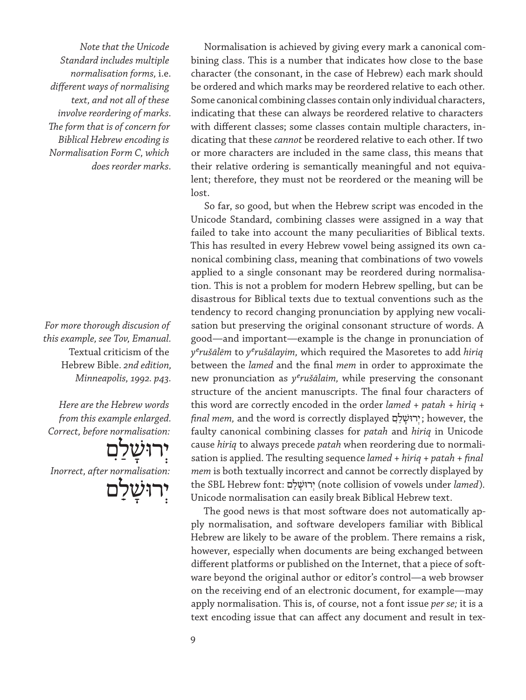*Note that the Unicode Standard includes multiple normalisation forms,* i.e. *different ways of normalising text, and not all of these involve reordering of marks. The form that is of concern for Biblical Hebrew encoding is Normalisation Form C, which does reorder marks.*

*For more thorough discusion of this example, see Tov, Emanual.*  Textual criticism of the Hebrew Bible. *2nd edition, Minneapolis, 1992. p43.*

*Here are the Hebrew words from this example enlarged. Correct, before normalisation:*

יְרוּשָׁלַם *Inorrect, after normalisation:* ירוּשׁי

Normalisation is achieved by giving every mark a canonical combining class. This is a number that indicates how close to the base character (the consonant, in the case of Hebrew) each mark should be ordered and which marks may be reordered relative to each other. Some canonical combining classes contain only individual characters, indicating that these can always be reordered relative to characters with different classes; some classes contain multiple characters, indicating that these *cannot* be reordered relative to each other. If two or more characters are included in the same class, this means that their relative ordering is semantically meaningful and not equivalent; therefore, they must not be reordered or the meaning will be lost.

So far, so good, but when the Hebrew script was encoded in the Unicode Standard, combining classes were assigned in a way that failed to take into account the many peculiarities of Biblical texts. This has resulted in every Hebrew vowel being assigned its own canonical combining class, meaning that combinations of two vowels applied to a single consonant may be reordered during normalisation. This is not a problem for modern Hebrew spelling, but can be disastrous for Biblical texts due to textual conventions such as the tendency to record changing pronunciation by applying new vocalisation but preserving the original consonant structure of words. A good—and important—example is the change in pronunciation of *yerušālēm* to *yerušālayim,* which required the Masoretes to add *hiriq* between the *lamed* and the final *mem* in order to approximate the new pronunciation as *yerušālaim,* while preserving the consonant structure of the ancient manuscripts. The final four characters of this word are correctly encoded in the order *lamed* + *patah* + *hiriq* + *final mem,* and the word is correctly displayed ִם ַל ָשׁוּרְי ; however, the faulty canonical combining classes for *patah* and *hiriq* in Unicode cause *hiriq* to always precede *patah* when reordering due to normalisation is applied. The resulting sequence *lamed* + *hiriq* + *patah* + *final mem* is both textually incorrect and cannot be correctly displayed by the SBL Hebrew font: ם ִַל ָשׁוּרְי) note collision of vowels under *lamed*). Unicode normalisation can easily break Biblical Hebrew text.

The good news is that most software does not automatically apply normalisation, and software developers familiar with Biblical Hebrew are likely to be aware of the problem. There remains a risk, however, especially when documents are being exchanged between different platforms or published on the Internet, that a piece of software beyond the original author or editor's control—a web browser on the receiving end of an electronic document, for example—may apply normalisation. This is, of course, not a font issue *per se;* it is a text encoding issue that can affect any document and result in tex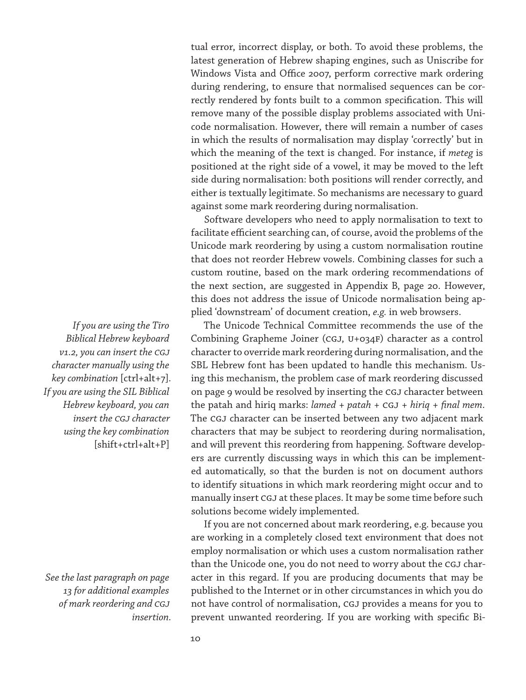tual error, incorrect display, or both. To avoid these problems, the latest generation of Hebrew shaping engines, such as Uniscribe for Windows Vista and Office 2007, perform corrective mark ordering during rendering, to ensure that normalised sequences can be correctly rendered by fonts built to a common specification. This will remove many of the possible display problems associated with Unicode normalisation. However, there will remain a number of cases in which the results of normalisation may display 'correctly' but in which the meaning of the text is changed. For instance, if *meteg* is positioned at the right side of a vowel, it may be moved to the left side during normalisation: both positions will render correctly, and either is textually legitimate. So mechanisms are necessary to guard against some mark reordering during normalisation.

Software developers who need to apply normalisation to text to facilitate efficient searching can, of course, avoid the problems of the Unicode mark reordering by using a custom normalisation routine that does not reorder Hebrew vowels. Combining classes for such a custom routine, based on the mark ordering recommendations of the next section, are suggested in Appendix B, page 20. However, this does not address the issue of Unicode normalisation being applied 'downstream' of document creation, *e.g.* in web browsers.

The Unicode Technical Committee recommends the use of the Combining Grapheme Joiner (CGJ, U+034F) character as a control character to override mark reordering during normalisation, and the SBL Hebrew font has been updated to handle this mechanism. Using this mechanism, the problem case of mark reordering discussed on page 9 would be resolved by inserting the CGJ character between the patah and hiriq marks: *lamed* + *patah* + CGJ + *hiriq* + *final mem*. The CGJ character can be inserted between any two adjacent mark characters that may be subject to reordering during normalisation, and will prevent this reordering from happening. Software developers are currently discussing ways in which this can be implemented automatically, so that the burden is not on document authors to identify situations in which mark reordering might occur and to manually insert CGJ at these places. It may be some time before such solutions become widely implemented.

If you are not concerned about mark reordering, e.g. because you are working in a completely closed text environment that does not employ normalisation or which uses a custom normalisation rather than the Unicode one, you do not need to worry about the CGJ character in this regard. If you are producing documents that may be published to the Internet or in other circumstances in which you do not have control of normalisation, CGJ provides a means for you to prevent unwanted reordering. If you are working with specific Bi-

*If you are using the Tiro Biblical Hebrew keyboard v1.2, you can insert the CGJ character manually using the key combination* [ctrl+alt+7]*. If you are using the SIL Biblical Hebrew keyboard, you can insert the CGJ character using the key combination*  [shift+ctrl+alt+P]

*See the last paragraph on page 13 for additional examples of mark reordering and CGJ insertion.*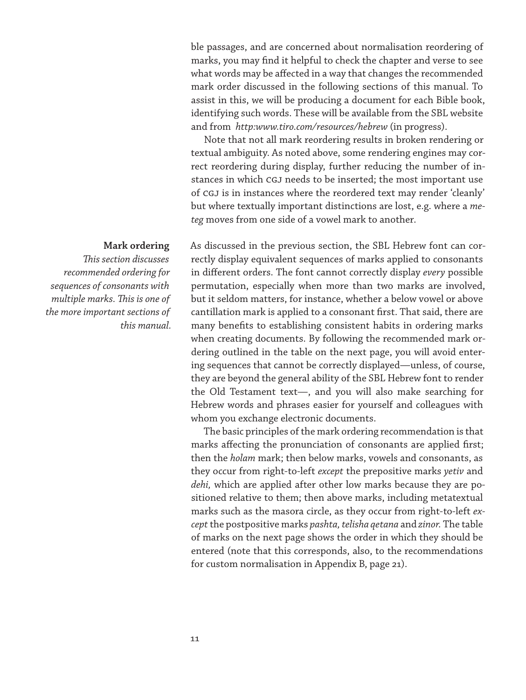ble passages, and are concerned about normalisation reordering of marks, you may find it helpful to check the chapter and verse to see what words may be affected in a way that changes the recommended mark order discussed in the following sections of this manual. To assist in this, we will be producing a document for each Bible book, identifying such words. These will be available from the SBL website and from *http:www.tiro.com/resources/hebrew* (in progress).

Note that not all mark reordering results in broken rendering or textual ambiguity. As noted above, some rendering engines may correct reordering during display, further reducing the number of instances in which CGJ needs to be inserted; the most important use of CGJ is in instances where the reordered text may render 'cleanly' but where textually important distinctions are lost, e.g. where a *meteg* moves from one side of a vowel mark to another.

# **Mark ordering**

*This section discusses recommended ordering for sequences of consonants with multiple marks. This is one of the more important sections of this manual.* As discussed in the previous section, the SBL Hebrew font can correctly display equivalent sequences of marks applied to consonants in different orders. The font cannot correctly display *every* possible permutation, especially when more than two marks are involved, but it seldom matters, for instance, whether a below vowel or above cantillation mark is applied to a consonant first. That said, there are many benefits to establishing consistent habits in ordering marks when creating documents. By following the recommended mark ordering outlined in the table on the next page, you will avoid entering sequences that cannot be correctly displayed—unless, of course, they are beyond the general ability of the SBL Hebrew font to render the Old Testament text—, and you will also make searching for Hebrew words and phrases easier for yourself and colleagues with whom you exchange electronic documents.

The basic principles of the mark ordering recommendation is that marks affecting the pronunciation of consonants are applied first; then the *holam* mark; then below marks, vowels and consonants, as they occur from right-to-left *except* the prepositive marks *yetiv* and *dehi,* which are applied after other low marks because they are positioned relative to them; then above marks, including metatextual marks such as the masora circle, as they occur from right-to-left *except* the postpositive marks *pashta, telisha qetana* and *zinor.* The table of marks on the next page shows the order in which they should be entered (note that this corresponds, also, to the recommendations for custom normalisation in Appendix B, page 21).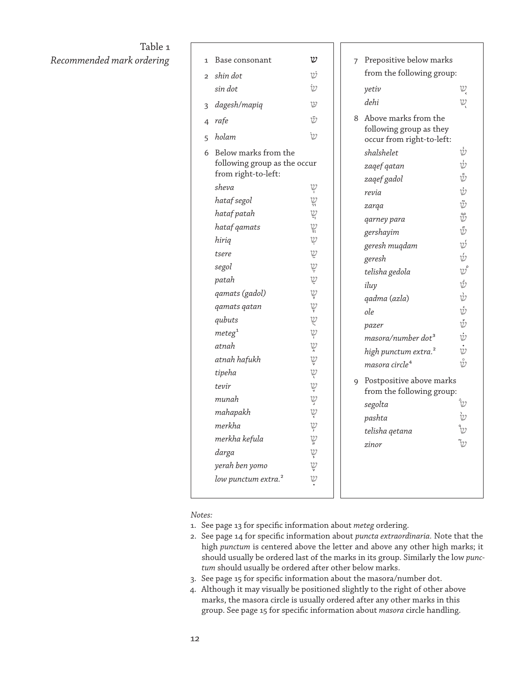# Table 1  $Recommended$  mark ordering

| $\mathbf{1}$   | Base consonant                                                              | υ                          |  |
|----------------|-----------------------------------------------------------------------------|----------------------------|--|
| $\overline{2}$ | shin dot                                                                    | v                          |  |
|                | sin dot                                                                     | $\dot{v}$                  |  |
| 3              | dagesh/mapiq                                                                | υ                          |  |
|                | 4 rafe                                                                      | Ū                          |  |
| 5              | holam                                                                       | $\dot{\mathcal{V}}$        |  |
| 6              | Below marks from the<br>following group as the occur<br>from right-to-left: |                            |  |
|                | sheva                                                                       | שְ                         |  |
|                | hataf segol                                                                 | $\stackrel{U}{\cong}$      |  |
|                | hataf patah                                                                 | $\overset{\mathcal{U}}{=}$ |  |
|                | hataf gamats                                                                | يا<br>پ                    |  |
|                | hirig                                                                       |                            |  |
|                | tsere                                                                       | رح                         |  |
|                | segol                                                                       | $\ddot{\mathcal{Q}}$       |  |
|                | patah                                                                       | $\ddot{v}$                 |  |
|                | qamats (gadol)                                                              |                            |  |
|                | qamats qatan                                                                | A A A A A A A A            |  |
|                | qubuts                                                                      |                            |  |
|                | $m$ eteg $^{\rm 1}$                                                         |                            |  |
|                | atnah                                                                       |                            |  |
|                | atnah hafukh                                                                |                            |  |
|                | tipeha                                                                      |                            |  |
|                | tevir                                                                       |                            |  |
|                | munah                                                                       |                            |  |
|                | mahapakh                                                                    |                            |  |
|                | merkha                                                                      |                            |  |
|                | merkha kefula                                                               |                            |  |
|                | darga                                                                       | D. D. D. D. D. D. D. D.    |  |
|                | yerah ben yomo                                                              |                            |  |
|                | low punctum extra. <sup>2</sup>                                             | $\mathcal{V}$              |  |

|   | from the following group:                            |                                  |  |  |
|---|------------------------------------------------------|----------------------------------|--|--|
|   |                                                      |                                  |  |  |
|   | yetiv<br>dehi                                        | שְ                               |  |  |
|   |                                                      | V.                               |  |  |
| 8 | Above marks from the                                 |                                  |  |  |
|   | following group as they<br>occur from right-to-left: |                                  |  |  |
|   | shalshelet                                           | Ŵ                                |  |  |
|   | zaqef qatan                                          | Ŵ                                |  |  |
|   | zagef gadol                                          | Ů                                |  |  |
|   | revia                                                | Ŵ                                |  |  |
|   | zarga                                                | Ÿ                                |  |  |
|   | qarney para                                          | ŵ                                |  |  |
|   | gershayim                                            | G                                |  |  |
|   | geresh muqdam                                        | ψ                                |  |  |
|   | geresh                                               | Ú                                |  |  |
|   | telisha gedola                                       | $\boldsymbol{\mathcal{V}}^\circ$ |  |  |
|   | iluy                                                 | ΰ                                |  |  |
|   | qadma (azla)                                         | ù                                |  |  |
|   | ole                                                  | ŵ                                |  |  |
|   | pazer                                                | Ů                                |  |  |
|   | masora/number dot <sup>3</sup>                       | $\dot{\psi}$                     |  |  |
|   | high punctum extra. <sup>2</sup>                     | $\dot{\dot{\nu}}$                |  |  |
|   | masora circle <sup>4</sup>                           | ŵ                                |  |  |
| 9 | Postpositive above marks                             |                                  |  |  |
|   | from the following group:                            |                                  |  |  |
|   | segolta                                              |                                  |  |  |
|   | pashta                                               | $\frac{\partial}{\partial y}$    |  |  |
|   | telisha qetana                                       |                                  |  |  |
|   | zinor                                                |                                  |  |  |
|   |                                                      |                                  |  |  |

*Notes:*

- 1. See page 13 for specific information about *meteg* ordering.
- 2. See page 14 for specific information about *puncta extraordinaria.* Note that the high *punctum* is centered above the letter and above any other high marks; it should usually be ordered last of the marks in its group. Similarly the low *punctum* should usually be ordered after other below marks.
- 3. See page 15 for specific information about the masora/number dot.
- 4. Although it may visually be positioned slightly to the right of other above marks, the masora circle is usually ordered after any other marks in this group. See page 15 for specific information about *masora* circle handling.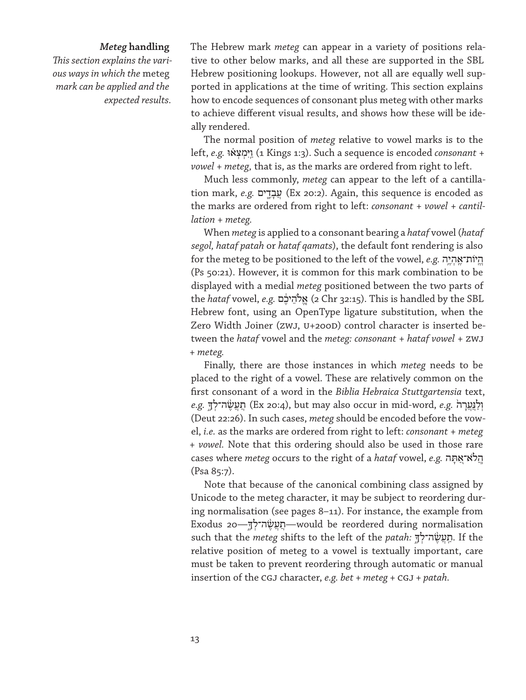# *Meteg* **handling**

*This section explains the various ways in which the* meteg *mark can be applied and the expected results.*

The Hebrew mark *meteg* can appear in a variety of positions relative to other below marks, and all these are supported in the SBL Hebrew positioning lookups. However, not all are equally well supported in applications at the time of writing. This section explains how to encode sequences of consonant plus meteg with other marks to achieve different visual results, and shows how these will be ideally rendered.

The normal position of *meteg* relative to vowel marks is to the left, *e.g.* וּ ֗א ְצ ְמִיּ ַֽו) 1 Kings 1:3). Such a sequence is encoded *consonant* + *vowel* + *meteg,* that is, as the marks are ordered from right to left.

Much less commonly, *meteg* can appear to the left of a cantillation mark, *e.g.* עֲבָדֵים (Ex 20:2). Again, this sequence is encoded as the marks are ordered from right to left: *consonant* + *vowel* + *cantillation* + *meteg.*

When *meteg* is applied to a consonant bearing a *hataf* vowel (*hataf segol, hataf patah* or *hataf qamats*), the default font rendering is also for the meteg to be positioned to the left of the vowel, *e.g.* ה ֶ֥י ְה ֶֽות־אֹי ֱֽה (Ps 50:21). However, it is common for this mark combination to be displayed with a medial *meteg* positioned between the two parts of the *hataf* vowel, *e.g.* ם ֶ֔יכ ֵלהֹ א) 2 Chr 32:15). This is handled by the SBL Hebrew font, using an OpenType ligature substitution, when the Zero Width Joiner (ZWJ, U+200D) control character is inserted between the *hataf* vowel and the *meteg: consonant* + *hataf vowel* + ZWJ + *meteg.*

Finally, there are those instances in which *meteg* needs to be placed to the right of a vowel. These are relatively common on the first consonant of a word in the *Biblia Hebraica Stuttgartensia* text, *e.g.* תַעֲשֶׂה־לָךְ (Ex 20:4), but may also occur in mid-word, *e.g.* תַעֲשֶׂה־לָךָ (Deut 22:26). In such cases, *meteg* should be encoded before the vowel, *i.e.* as the marks are ordered from right to left: *consonant* + *meteg* + *vowel.* Note that this ordering should also be used in those rare cases where *meteg* occurs to the right of a *hataf* vowel, *e.g.* הַלֹּא־אֲתָּה (Psa 85:7).

Note that because of the canonical combining class assigned by Unicode to the meteg character, it may be subject to reordering during normalisation (see pages 8–11). For instance, the example from Exodus 20—אֲמַעֲשֶׂה־לְךָּ such that the *meteg* shifts to the left of the *patah:* תַעֲשֶׂה־לָךְ, If the relative position of meteg to a vowel is textually important, care must be taken to prevent reordering through automatic or manual insertion of the CGJ character, *e.g. bet + meteg +* CGJ *+ patah.*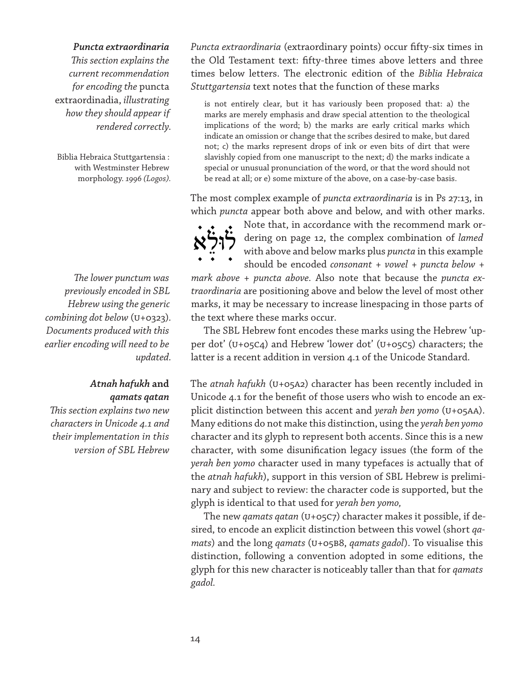# *Puncta extraordinaria*

*This section explains the current recommendation for encoding the* puncta extraordinadia, *illustrating how they should appear if rendered correctly.*

Biblia Hebraica Stuttgartensia : with Westminster Hebrew morphology. *1996 (Logos).*

*The lower punctum was previously encoded in SBL Hebrew using the generic combining dot below* (U+0323)*. Documents produced with this earlier encoding will need to be updated.*

# *Atnah hafukh* **and** *qamats qatan*

*This section explains two new characters in Unicode 4.1 and their implementation in this version of SBL Hebrew*

*Puncta extraordinaria* (extraordinary points) occur fifty-six times in the Old Testament text: fifty-three times above letters and three times below letters. The electronic edition of the *Biblia Hebraica Stuttgartensia* text notes that the function of these marks

is not entirely clear, but it has variously been proposed that: a) the marks are merely emphasis and draw special attention to the theological implications of the word; b) the marks are early critical marks which indicate an omission or change that the scribes desired to make, but dared not; c) the marks represent drops of ink or even bits of dirt that were slavishly copied from one manuscript to the next; d) the marks indicate a special or unusual pronunciation of the word, or that the word should not be read at all; or e) some mixture of the above, on a case-by-case basis.

The most complex example of *puncta extraordinaria* is in Ps 27:13, in which *puncta* appear both above and below, and with other marks.

Note that, in accordance with the recommend mark ordering on page 12, the complex combination of *lamed* with above and below marks plus *puncta* in this example should be encoded *consonant* + *vowel* + *puncta below* + رازې $\zeta$ 

*mark above* + *puncta above.* Also note that because the *puncta extraordinaria* are positioning above and below the level of most other marks, it may be necessary to increase linespacing in those parts of the text where these marks occur.

The SBL Hebrew font encodes these marks using the Hebrew 'upper dot' (U+05C4) and Hebrew 'lower dot' (U+05C5) characters; the latter is a recent addition in version 4.1 of the Unicode Standard.

The *atnah hafukh* (U+05A2) character has been recently included in Unicode 4.1 for the benefit of those users who wish to encode an explicit distinction between this accent and *yerah ben yomo* (U+05AA). Many editions do not make this distinction, using the *yerah ben yomo* character and its glyph to represent both accents. Since this is a new character, with some disunification legacy issues (the form of the *yerah ben yomo* character used in many typefaces is actually that of the *atnah hafukh*), support in this version of SBL Hebrew is preliminary and subject to review: the character code is supported, but the glyph is identical to that used for *yerah ben yomo,*

The new *qamats qatan* (U+05C7) character makes it possible, if desired, to encode an explicit distinction between this vowel (short *qamats*) and the long *qamats* (U+05B8, *qamats gadol*). To visualise this distinction, following a convention adopted in some editions, the glyph for this new character is noticeably taller than that for *qamats gadol.*

 $\aleph$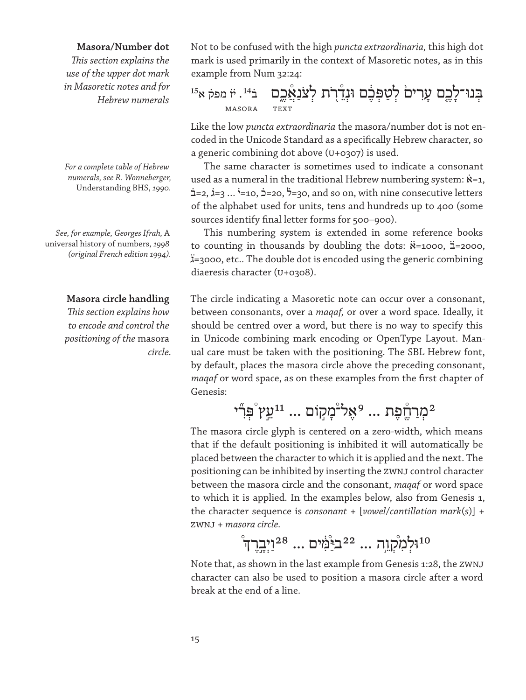# **Masora/Number dot**

*This section explains the use of the upper dot mark in Masoretic notes and for Hebrew numerals*

*For a complete table of Hebrew numerals, see R. Wonneberger,*  Understanding BHS, *1990.*

*See, for example, Georges Ifrah,* A universal history of numbers, *1998 (original French edition 1994).*

# **Masora circle handling**

*This section explains how to encode and control the positioning of the* masora *circle.* Not to be confused with the high *puncta extraordinaria,* this high dot mark is used primarily in the context of Masoretic notes, as in this example from Num 32:24:

ּבְ נּו־לָ כֶ֤ ם עָ רִ ים֙ לְ טַ ּפְ כֶ֔ ם ּונְדֵ֯ רֹ֭ ת לְ צֹנַ אֲ֯ כֶ֑ ם ב̇ ¹⁴ . י̇ז̇ מפק̇ א¹⁵ masora text

Like the low *puncta extraordinaria* the masora/number dot is not encoded in the Unicode Standard as a specifically Hebrew character, so a generic combining dot above (U+0307) is used.

The same character is sometimes used to indicate a consonant used as a numeral in the traditional Hebrew numbering system:  $\dot{x}$ =1,  $\dot{=}$  =2,  $\dot{i}$ =3 ...  $\dot{i}$ =10,  $\dot{i}$ =20,  $\ddot{i}$ =30, and so on, with nine consecutive letters of the alphabet used for units, tens and hundreds up to 400 (some sources identify final letter forms for 500–900).

This numbering system is extended in some reference books to counting in thousands by doubling the dots:  $\ddot{\mathbf{x}}$ =1000,  $\ddot{\mathbf{a}}$ =2000, ̈ג=3000, etc.. The double dot is encoded using the generic combining diaeresis character (U+0308).

The circle indicating a Masoretic note can occur over a consonant, between consonants, over a *maqaf,* or over a word space. Ideally, it should be centred over a word, but there is no way to specify this in Unicode combining mark encoding or OpenType Layout. Manual care must be taken with the positioning. The SBL Hebrew font, by default, places the masora circle above the preceding consonant, *maqaf* or word space, as on these examples from the first chapter of Genesis:

# מְרַחֱׁפֵת ... <sup>9</sup>אֵל-מָקוֹם ... <sup>11</sup>עֵץ ْפִּרְי

The masora circle glyph is centered on a zero-width, which means that if the default positioning is inhibited it will automatically be placed between the character to which it is applied and the next. The positioning can be inhibited by inserting the ZWNJ control character between the masora circle and the consonant, *maqaf* or word space to which it is applied. In the examples below, also from Genesis 1, the character sequence is *consonant* + [*vowel*/*cantillation mark*(*s*)] + ZWNJ + *masora circle.*

 $^{\circ}$ וֹלְמִקְוֵה ... 22בּיַּמְׁים ... 28וַיְבְרֵךְ

Note that, as shown in the last example from Genesis 1:28, the ZWNJ character can also be used to position a masora circle after a word break at the end of a line.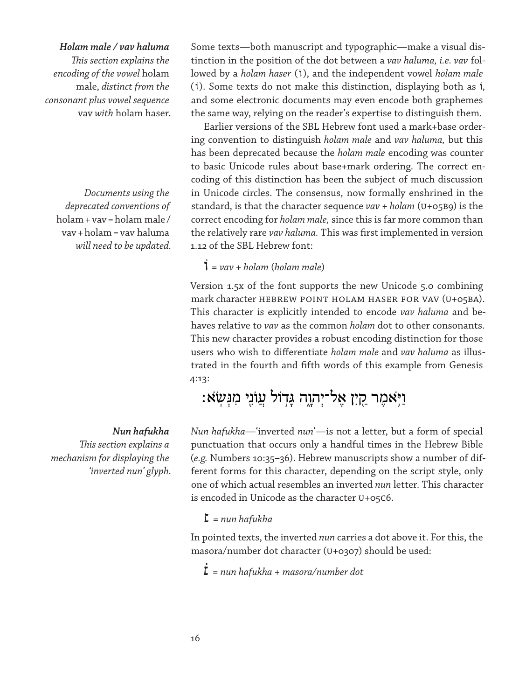# *Holam male / vav haluma*

*This section explains the encoding of the vowel* holam male, *distinct from the consonant plus vowel sequence*  vav *with* holam haser.

*Documents using the deprecated conventions of*  holam+vav=holam male / vav+holam=vav haluma *will need to be updated.*

# *Nun hafukha*

*This section explains a mechanism for displaying the 'inverted nun' glyph.* 

Some texts—both manuscript and typographic—make a visual distinction in the position of the dot between a *vav haluma, i.e. vav* followed by a *holam haser* (i), and the independent vowel *holam male* (i). Some texts do not make this distinction, displaying both as i, and some electronic documents may even encode both graphemes the same way, relying on the reader's expertise to distinguish them.

Earlier versions of the SBL Hebrew font used a mark+base ordering convention to distinguish *holam male* and *vav haluma,* but this has been deprecated because the *holam male* encoding was counter to basic Unicode rules about base+mark ordering. The correct encoding of this distinction has been the subject of much discussion in Unicode circles. The consensus, now formally enshrined in the standard, is that the character sequence *vav + holam* (U+05B9) is the correct encoding for *holam male,* since this is far more common than the relatively rare *vav haluma.* This was first implemented in version 1.12 of the SBL Hebrew font:

וֹ<sup>=</sup> *vav + holam* (*holam male*)

Version 1.5x of the font supports the new Unicode 5.0 combining mark character HEBREW POINT HOLAM HASER FOR VAV (U+05BA). This character is explicitly intended to encode *vav haluma* and behaves relative to *vav* as the common *holam* dot to other consonants. This new character provides a robust encoding distinction for those users who wish to differentiate *holam male* and *vav haluma* as illustrated in the fourth and fifth words of this example from Genesis 4:13:

# וַיִּאמֶר קֵיִן אֱל־יִהוֶה גַּדְוֹל עֲוֹנֵי מִגְּשָׂא:

*Nun hafukha*—'inverted *nun*'—is not a letter, but a form of special punctuation that occurs only a handful times in the Hebrew Bible (*e.g.* Numbers 10:35–36). Hebrew manuscripts show a number of different forms for this character, depending on the script style, only one of which actual resembles an inverted *nun* letter. This character is encoded in Unicode as the character U+05C6.

# ׆<sup>=</sup> *nun hafukha*

In pointed texts, the inverted *nun* carries a dot above it. For this, the masora/number dot character (U+0307) should be used:

̇׆<sup>=</sup> *nun hafukha* + *masora/number dot*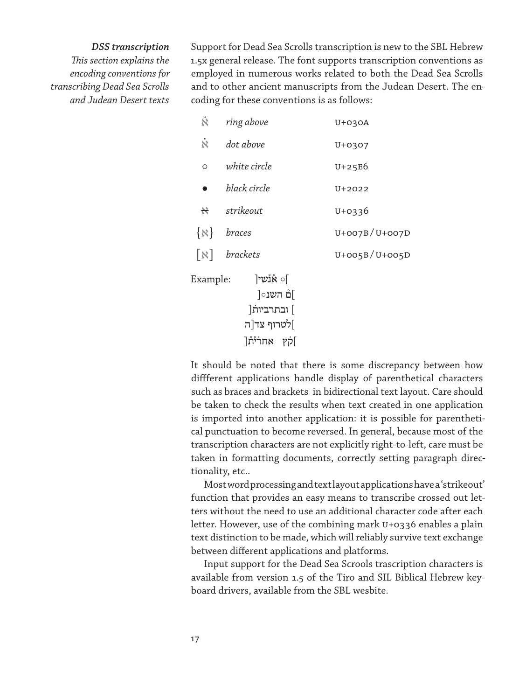# *DSS transcription*

*This section explains the encoding conventions for transcribing Dead Sea Scrolls and Judean Desert texts*

Support for Dead Sea Scrolls transcription is new to the SBL Hebrew 1.5x general release. The font supports transcription conventions as employed in numerous works related to both the Dead Sea Scrolls and to other ancient manuscripts from the Judean Desert. The encoding for these conventions is as follows:

| $\stackrel{\circ}{\aleph}$ | ring above                                                      | $U+O3OA$              |
|----------------------------|-----------------------------------------------------------------|-----------------------|
| $\dot{\aleph}$             | dot above                                                       | U+0307                |
| O                          | white circle                                                    | $U+25E6$              |
| $\bullet$                  | black circle                                                    | U+2022                |
|                            | $\mathbb{R}$ strikeout                                          | $U+0336$              |
|                            | $\{x\}$ braces                                                  | $U+OO7B/ U+OO7D$      |
|                            | $\lceil \aleph \rceil$ brackets                                 | $U + OO5B / U + OO5D$ |
| Example:                   | ∫ס אונשי<br>]ם השנ∘[<br>] ובתרביות<br> לטרוף צד ה<br>]קׁץ אחרית |                       |

It should be noted that there is some discrepancy between how diffferent applications handle display of parenthetical characters such as braces and brackets in bidirectional text layout. Care should be taken to check the results when text created in one application is imported into another application: it is possible for parenthetical punctuation to become reversed. In general, because most of the transcription characters are not explicitly right-to-left, care must be taken in formatting documents, correctly setting paragraph directionality, etc..

Most word processing and text layout applications have a 'strikeout' function that provides an easy means to transcribe crossed out letters without the need to use an additional character code after each letter. However, use of the combining mark U+0336 enables a plain text distinction to be made, which will reliably survive text exchange between different applications and platforms.

Input support for the Dead Sea Scrools trascription characters is available from version 1.5 of the Tiro and SIL Biblical Hebrew keyboard drivers, available from the SBL wesbite.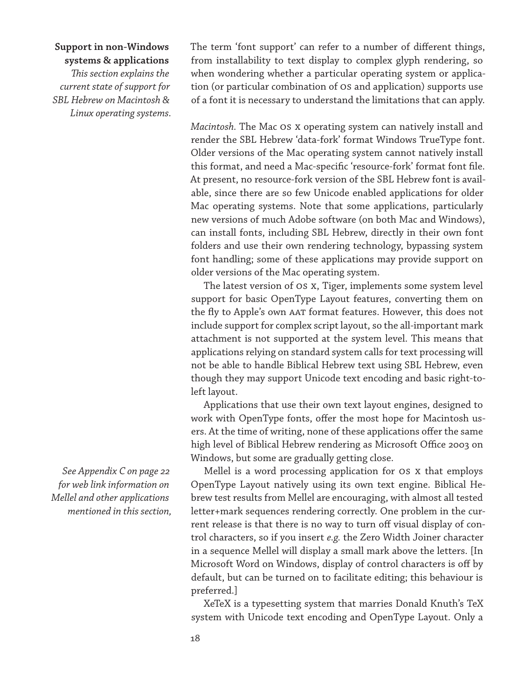# **Support in non-Windows**

**systems & applications**

*This section explains the current state of support for SBL Hebrew on Macintosh & Linux operating systems.*

*See Appendix C on page 22 for web link information on Mellel and other applications mentioned in this section,*

The term 'font support' can refer to a number of different things, from installability to text display to complex glyph rendering, so when wondering whether a particular operating system or application (or particular combination of OS and application) supports use of a font it is necessary to understand the limitations that can apply.

*Macintosh.* The Mac OS X operating system can natively install and render the SBL Hebrew 'data-fork' format Windows TrueType font. Older versions of the Mac operating system cannot natively install this format, and need a Mac-specific 'resource-fork' format font file. At present, no resource-fork version of the SBL Hebrew font is available, since there are so few Unicode enabled applications for older Mac operating systems. Note that some applications, particularly new versions of much Adobe software (on both Mac and Windows), can install fonts, including SBL Hebrew, directly in their own font folders and use their own rendering technology, bypassing system font handling; some of these applications may provide support on older versions of the Mac operating system.

The latest version of OS X, Tiger, implements some system level support for basic OpenType Layout features, converting them on the fly to Apple's own AAT format features. However, this does not include support for complex script layout, so the all-important mark attachment is not supported at the system level. This means that applications relying on standard system calls for text processing will not be able to handle Biblical Hebrew text using SBL Hebrew, even though they may support Unicode text encoding and basic right-toleft layout.

Applications that use their own text layout engines, designed to work with OpenType fonts, offer the most hope for Macintosh users. At the time of writing, none of these applications offer the same high level of Biblical Hebrew rendering as Microsoft Office 2003 on Windows, but some are gradually getting close.

Mellel is a word processing application for OS X that employs OpenType Layout natively using its own text engine. Biblical Hebrew test results from Mellel are encouraging, with almost all tested letter+mark sequences rendering correctly. One problem in the current release is that there is no way to turn off visual display of control characters, so if you insert *e.g.* the Zero Width Joiner character in a sequence Mellel will display a small mark above the letters. [In Microsoft Word on Windows, display of control characters is off by default, but can be turned on to facilitate editing; this behaviour is preferred.]

XeTeX is a typesetting system that marries Donald Knuth's TeX system with Unicode text encoding and OpenType Layout. Only a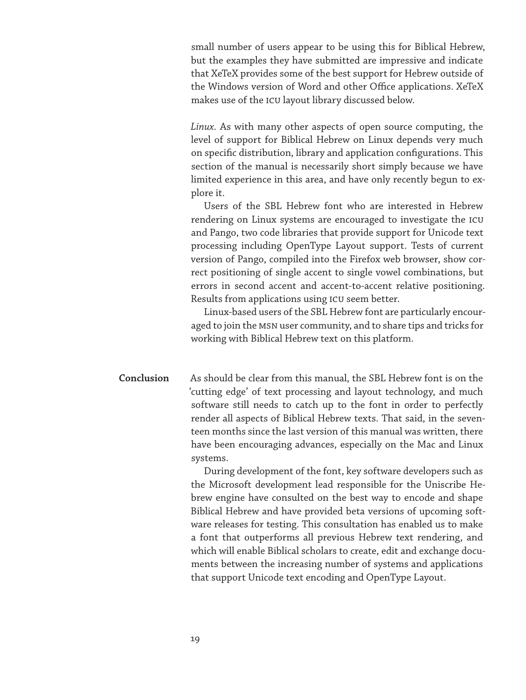small number of users appear to be using this for Biblical Hebrew, but the examples they have submitted are impressive and indicate that XeTeX provides some of the best support for Hebrew outside of the Windows version of Word and other Office applications. XeTeX makes use of the ICU layout library discussed below.

*Linux.* As with many other aspects of open source computing, the level of support for Biblical Hebrew on Linux depends very much on specific distribution, library and application configurations. This section of the manual is necessarily short simply because we have limited experience in this area, and have only recently begun to explore it.

Users of the SBL Hebrew font who are interested in Hebrew rendering on Linux systems are encouraged to investigate the ICU and Pango, two code libraries that provide support for Unicode text processing including OpenType Layout support. Tests of current version of Pango, compiled into the Firefox web browser, show correct positioning of single accent to single vowel combinations, but errors in second accent and accent-to-accent relative positioning. Results from applications using ICU seem better.

Linux-based users of the SBL Hebrew font are particularly encouraged to join the MSN user community, and to share tips and tricks for working with Biblical Hebrew text on this platform.

As should be clear from this manual, the SBL Hebrew font is on the 'cutting edge' of text processing and layout technology, and much software still needs to catch up to the font in order to perfectly render all aspects of Biblical Hebrew texts. That said, in the seventeen months since the last version of this manual was written, there have been encouraging advances, especially on the Mac and Linux systems. **Conclusion**

> During development of the font, key software developers such as the Microsoft development lead responsible for the Uniscribe Hebrew engine have consulted on the best way to encode and shape Biblical Hebrew and have provided beta versions of upcoming software releases for testing. This consultation has enabled us to make a font that outperforms all previous Hebrew text rendering, and which will enable Biblical scholars to create, edit and exchange documents between the increasing number of systems and applications that support Unicode text encoding and OpenType Layout.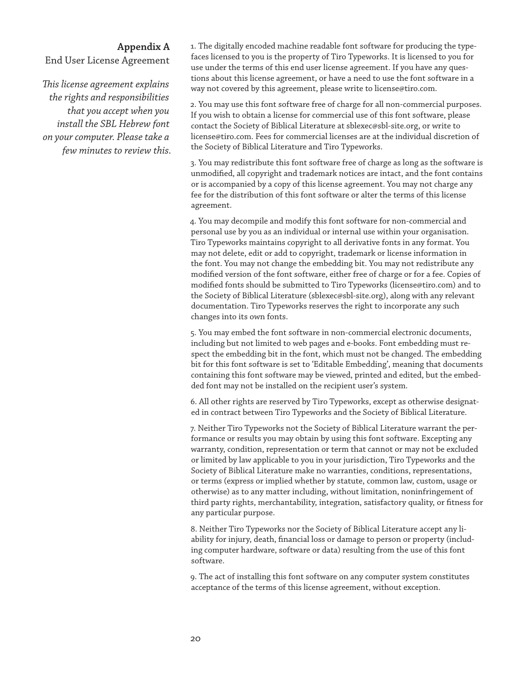# **Appendix A**

End User License Agreement

*This license agreement explains the rights and responsibilities that you accept when you install the SBL Hebrew font on your computer. Please take a few minutes to review this.* 1. The digitally encoded machine readable font software for producing the typefaces licensed to you is the property of Tiro Typeworks. It is licensed to you for use under the terms of this end user license agreement. If you have any questions about this license agreement, or have a need to use the font software in a way not covered by this agreement, please write to license@tiro.com.

2. You may use this font software free of charge for all non-commercial purposes. If you wish to obtain a license for commercial use of this font software, please contact the Society of Biblical Literature at sblexec@sbl-site.org, or write to license@tiro.com. Fees for commercial licenses are at the individual discretion of the Society of Biblical Literature and Tiro Typeworks.

3. You may redistribute this font software free of charge as long as the software is unmodified, all copyright and trademark notices are intact, and the font contains or is accompanied by a copy of this license agreement. You may not charge any fee for the distribution of this font software or alter the terms of this license agreement.

4. You may decompile and modify this font software for non-commercial and personal use by you as an individual or internal use within your organisation. Tiro Typeworks maintains copyright to all derivative fonts in any format. You may not delete, edit or add to copyright, trademark or license information in the font. You may not change the embedding bit. You may not redistribute any modified version of the font software, either free of charge or for a fee. Copies of modified fonts should be submitted to Tiro Typeworks (license@tiro.com) and to the Society of Biblical Literature (sblexec@sbl-site.org), along with any relevant documentation. Tiro Typeworks reserves the right to incorporate any such changes into its own fonts.

5. You may embed the font software in non-commercial electronic documents, including but not limited to web pages and e-books. Font embedding must respect the embedding bit in the font, which must not be changed. The embedding bit for this font software is set to 'Editable Embedding', meaning that documents containing this font software may be viewed, printed and edited, but the embedded font may not be installed on the recipient user's system.

6. All other rights are reserved by Tiro Typeworks, except as otherwise designated in contract between Tiro Typeworks and the Society of Biblical Literature.

7. Neither Tiro Typeworks not the Society of Biblical Literature warrant the performance or results you may obtain by using this font software. Excepting any warranty, condition, representation or term that cannot or may not be excluded or limited by law applicable to you in your jurisdiction, Tiro Typeworks and the Society of Biblical Literature make no warranties, conditions, representations, or terms (express or implied whether by statute, common law, custom, usage or otherwise) as to any matter including, without limitation, noninfringement of third party rights, merchantability, integration, satisfactory quality, or fitness for any particular purpose.

8. Neither Tiro Typeworks nor the Society of Biblical Literature accept any liability for injury, death, financial loss or damage to person or property (including computer hardware, software or data) resulting from the use of this font software.

9. The act of installing this font software on any computer system constitutes acceptance of the terms of this license agreement, without exception.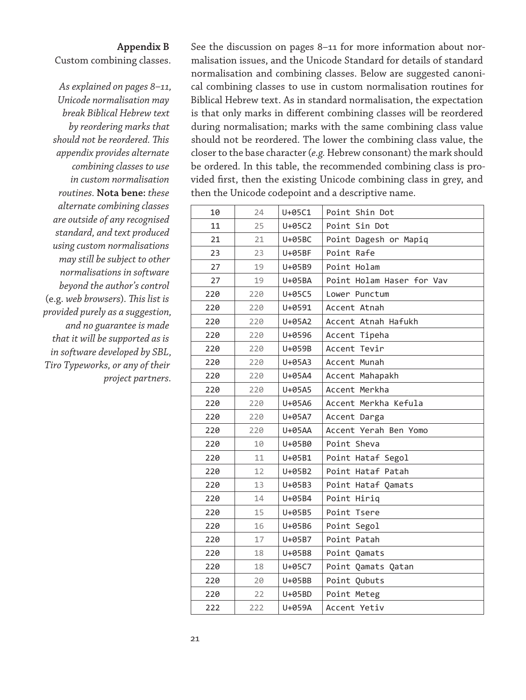# **Appendix B**

Custom combining classes.

*As explained on pages 8–11, Unicode normalisation may break Biblical Hebrew text by reordering marks that should not be reordered. This appendix provides alternate combining classes to use in custom normalisation routines.* **Nota bene:** *these alternate combining classes are outside of any recognised standard, and text produced using custom normalisations may still be subject to other normalisations in software beyond the author's control*  (e.g. *web browsers*)*. This list is provided purely as a suggestion, and no guarantee is made that it will be supported as is in software developed by SBL, Tiro Typeworks, or any of their project partners.*

See the discussion on pages 8–11 for more information about normalisation issues, and the Unicode Standard for details of standard normalisation and combining classes. Below are suggested canonical combining classes to use in custom normalisation routines for Biblical Hebrew text. As in standard normalisation, the expectation is that only marks in different combining classes will be reordered during normalisation; marks with the same combining class value should not be reordered. The lower the combining class value, the closer to the base character (*e.g.* Hebrew consonant) the mark should be ordered. In this table, the recommended combining class is provided first, then the existing Unicode combining class in grey, and then the Unicode codepoint and a descriptive name.

| 10  | 24  | U+05C1 | Point Shin Dot            |
|-----|-----|--------|---------------------------|
| 11  | 25  | U+05C2 | Point Sin Dot             |
| 21  | 21  | U+05BC | Point Dagesh or Mapiq     |
| 23  | 23  | U+05BF | Point Rafe                |
| 27  | 19  | U+05B9 | Point Holam               |
| 27  | 19  | U+05BA | Point Holam Haser for Vav |
| 220 | 220 | U+05C5 | Lower Punctum             |
| 220 | 220 | U+0591 | Accent Atnah              |
| 220 | 220 | U+05A2 | Accent Atnah Hafukh       |
| 220 | 220 | U+0596 | Accent Tipeha             |
| 220 | 220 | U+059B | Accent Tevir              |
| 220 | 220 | U+05A3 | Accent Munah              |
| 220 | 220 | U+05A4 | Accent Mahapakh           |
| 220 | 220 | U+05A5 | Accent Merkha             |
| 220 | 220 | U+05A6 | Accent Merkha Kefula      |
| 220 | 220 | U+05A7 | Accent Darga              |
| 220 | 220 | U+05AA | Accent Yerah Ben Yomo     |
| 220 | 10  | U+05B0 | Point Sheva               |
| 220 | 11  | U+05B1 | Point Hataf Segol         |
| 220 | 12  | U+05B2 | Point Hataf Patah         |
| 220 | 13  | U+05B3 | Point Hataf Qamats        |
| 220 | 14  | U+05B4 | Point Hirig               |
| 220 | 15  | U+05B5 | Point Tsere               |
| 220 | 16  | U+05B6 | Point Segol               |
| 220 | 17  | U+05B7 | Point Patah               |
| 220 | 18  | U+05B8 | Point Qamats              |
| 220 | 18  | U+05C7 | Point Qamats Qatan        |
| 220 | 20  | U+05BB | Point Qubuts              |
| 220 | 22  | U+05BD | Point Meteg               |
| 222 | 222 | U+059A | Accent Yetiv              |
|     |     |        |                           |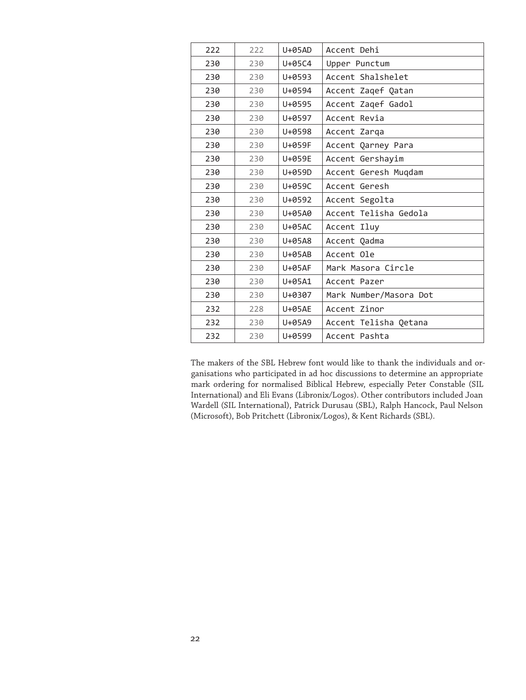| 222 | 222 | $U+05AD$ | Accent Dehi            |
|-----|-----|----------|------------------------|
| 230 | 230 | U+05C4   | Upper Punctum          |
| 230 | 230 | U+0593   | Accent Shalshelet      |
| 230 | 230 | U+0594   | Accent Zagef Qatan     |
| 230 | 230 | U+0595   | Accent Zagef Gadol     |
| 230 | 230 | U+0597   | Accent Revia           |
| 230 | 230 | U+0598   | Accent Zarga           |
| 230 | 230 | U+059F   | Accent Qarney Para     |
| 230 | 230 | U+059E   | Accent Gershayim       |
| 230 | 230 | U+059D   | Accent Geresh Muqdam   |
| 230 | 230 | U+059C   | Accent Geresh          |
| 230 | 230 | U+0592   | Accent Segolta         |
| 230 | 230 | U+05A0   | Accent Telisha Gedola  |
| 230 | 230 | U+05AC   | Accent Iluy            |
| 230 | 230 | U+05A8   | Accent Qadma           |
| 230 | 230 | $U+05AB$ | Accent Ole             |
| 230 | 230 | U+05AF   | Mark Masora Circle     |
| 230 | 230 | U+05A1   | Accent Pazer           |
| 230 | 230 | U+0307   | Mark Number/Masora Dot |
| 232 | 228 | U+05AE   | Accent Zinor           |
| 232 | 230 | U+05A9   | Accent Telisha Qetana  |
| 232 | 230 | U+0599   | Accent Pashta          |

The makers of the SBL Hebrew font would like to thank the individuals and organisations who participated in ad hoc discussions to determine an appropriate mark ordering for normalised Biblical Hebrew, especially Peter Constable (SIL International) and Eli Evans (Libronix/Logos). Other contributors included Joan Wardell (SIL International), Patrick Durusau (SBL), Ralph Hancock, Paul Nelson (Microsoft), Bob Pritchett (Libronix/Logos), & Kent Richards (SBL).